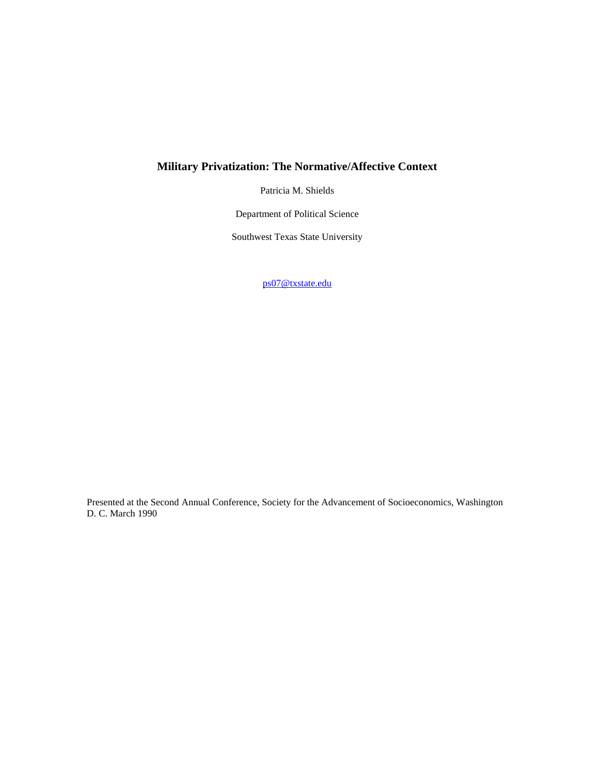# **Military Privatization: The Normative/Affective Context**

Patricia M. Shields

Department of Political Science

Southwest Texas State University

[ps07@txstate.edu](mailto:ps07@txstate.edu)

Presented at the Second Annual Conference, Society for the Advancement of Socioeconomics, Washington D. C. March 1990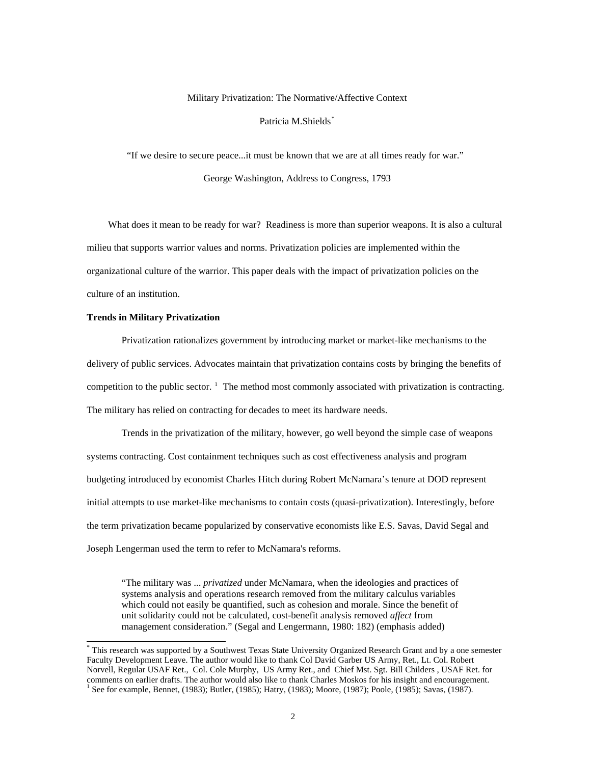### Military Privatization: The Normative/Affective Context

# Patricia M.Shields[\\*](#page-1-0)

"If we desire to secure peace...it must be known that we are at all times ready for war."

### George Washington, Address to Congress, 1793

What does it mean to be ready for war? Readiness is more than superior weapons. It is also a cultural milieu that supports warrior values and norms. Privatization policies are implemented within the organizational culture of the warrior. This paper deals with the impact of privatization policies on the culture of an institution.

### **Trends in Military Privatization**

l

Privatization rationalizes government by introducing market or market-like mechanisms to the delivery of public services. Advocates maintain that privatization contains costs by bringing the benefits of competition to the public sector.  $\frac{1}{1}$  The method most commonly associated with privatization is contracting. The military has relied on contracting for decades to meet its hardware needs.

Trends in the privatization of the military, however, go well beyond the simple case of weapons systems contracting. Cost containment techniques such as cost effectiveness analysis and program budgeting introduced by economist Charles Hitch during Robert McNamara's tenure at DOD represent initial attempts to use market-like mechanisms to contain costs (quasi-privatization). Interestingly, before the term privatization became popularized by conservative economists like E.S. Savas, David Segal and Joseph Lengerman used the term to refer to McNamara's reforms.

"The military was ... *privatized* under McNamara, when the ideologies and practices of systems analysis and operations research removed from the military calculus variables which could not easily be quantified, such as cohesion and morale. Since the benefit of unit solidarity could not be calculated, cost-benefit analysis removed *affect* from management consideration." (Segal and Lengermann, 1980: 182) (emphasis added)

<span id="page-1-1"></span><span id="page-1-0"></span><sup>\*</sup> This research was supported by a Southwest Texas State University Organized Research Grant and by a one semester Faculty Development Leave. The author would like to thank Col David Garber US Army, Ret., Lt. Col. Robert Norvell, Regular USAF Ret., Col. Cole Murphy, US Army Ret., and Chief Mst. Sgt. Bill Childers , USAF Ret. for comments on earlier drafts. The author would also like to thank Charles Moskos for his insight and encouragement. 1 <sup>1</sup> See for example, Bennet, (1983); Butler, (1985); Hatry, (1983); Moore, (1987); Poole, (1985); Savas, (1987).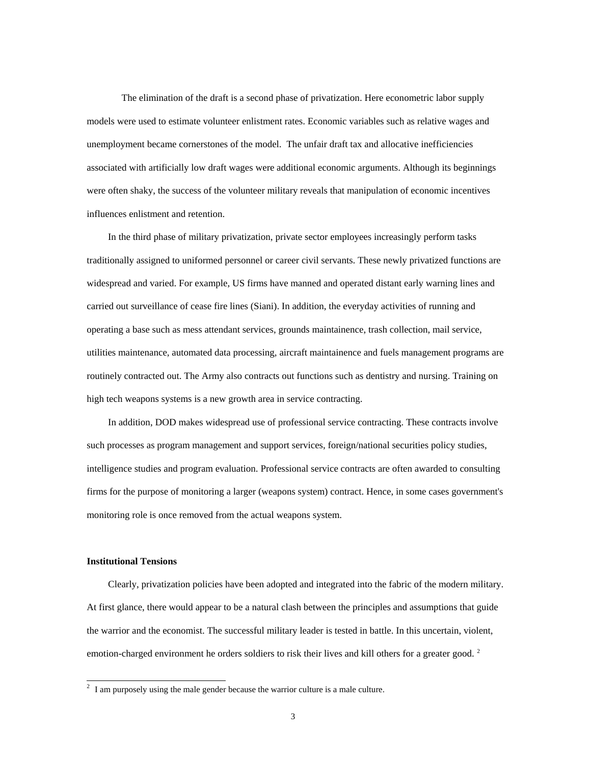The elimination of the draft is a second phase of privatization. Here econometric labor supply models were used to estimate volunteer enlistment rates. Economic variables such as relative wages and unemployment became cornerstones of the model. The unfair draft tax and allocative inefficiencies associated with artificially low draft wages were additional economic arguments. Although its beginnings were often shaky, the success of the volunteer military reveals that manipulation of economic incentives influences enlistment and retention.

 In the third phase of military privatization, private sector employees increasingly perform tasks traditionally assigned to uniformed personnel or career civil servants. These newly privatized functions are widespread and varied. For example, US firms have manned and operated distant early warning lines and carried out surveillance of cease fire lines (Siani). In addition, the everyday activities of running and operating a base such as mess attendant services, grounds maintainence, trash collection, mail service, utilities maintenance, automated data processing, aircraft maintainence and fuels management programs are routinely contracted out. The Army also contracts out functions such as dentistry and nursing. Training on high tech weapons systems is a new growth area in service contracting.

 In addition, DOD makes widespread use of professional service contracting. These contracts involve such processes as program management and support services, foreign/national securities policy studies, intelligence studies and program evaluation. Professional service contracts are often awarded to consulting firms for the purpose of monitoring a larger (weapons system) contract. Hence, in some cases government's monitoring role is once removed from the actual weapons system.

# **Institutional Tensions**

 $\overline{a}$ 

 Clearly, privatization policies have been adopted and integrated into the fabric of the modern military. At first glance, there would appear to be a natural clash between the principles and assumptions that guide the warrior and the economist. The successful military leader is tested in battle. In this uncertain, violent, emotion-charged environment he orders soldiers to risk their lives and kill others for a greater good.<sup>[2](#page-2-0)</sup>

<span id="page-2-0"></span> $2\,$  I am purposely using the male gender because the warrior culture is a male culture.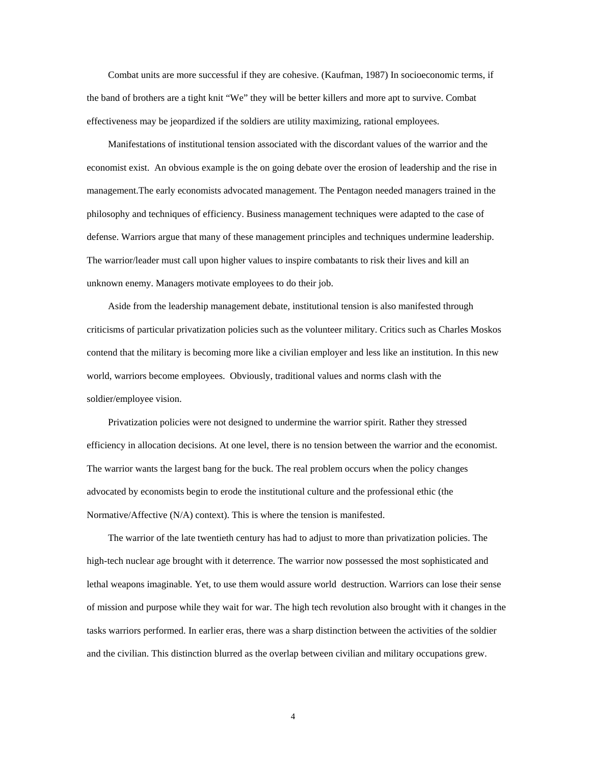Combat units are more successful if they are cohesive. (Kaufman, 1987) In socioeconomic terms, if the band of brothers are a tight knit "We" they will be better killers and more apt to survive. Combat effectiveness may be jeopardized if the soldiers are utility maximizing, rational employees.

 Manifestations of institutional tension associated with the discordant values of the warrior and the economist exist. An obvious example is the on going debate over the erosion of leadership and the rise in management.The early economists advocated management. The Pentagon needed managers trained in the philosophy and techniques of efficiency. Business management techniques were adapted to the case of defense. Warriors argue that many of these management principles and techniques undermine leadership. The warrior/leader must call upon higher values to inspire combatants to risk their lives and kill an unknown enemy. Managers motivate employees to do their job.

 Aside from the leadership management debate, institutional tension is also manifested through criticisms of particular privatization policies such as the volunteer military. Critics such as Charles Moskos contend that the military is becoming more like a civilian employer and less like an institution. In this new world, warriors become employees. Obviously, traditional values and norms clash with the soldier/employee vision.

 Privatization policies were not designed to undermine the warrior spirit. Rather they stressed efficiency in allocation decisions. At one level, there is no tension between the warrior and the economist. The warrior wants the largest bang for the buck. The real problem occurs when the policy changes advocated by economists begin to erode the institutional culture and the professional ethic (the Normative/Affective (N/A) context). This is where the tension is manifested.

 The warrior of the late twentieth century has had to adjust to more than privatization policies. The high-tech nuclear age brought with it deterrence. The warrior now possessed the most sophisticated and lethal weapons imaginable. Yet, to use them would assure world destruction. Warriors can lose their sense of mission and purpose while they wait for war. The high tech revolution also brought with it changes in the tasks warriors performed. In earlier eras, there was a sharp distinction between the activities of the soldier and the civilian. This distinction blurred as the overlap between civilian and military occupations grew.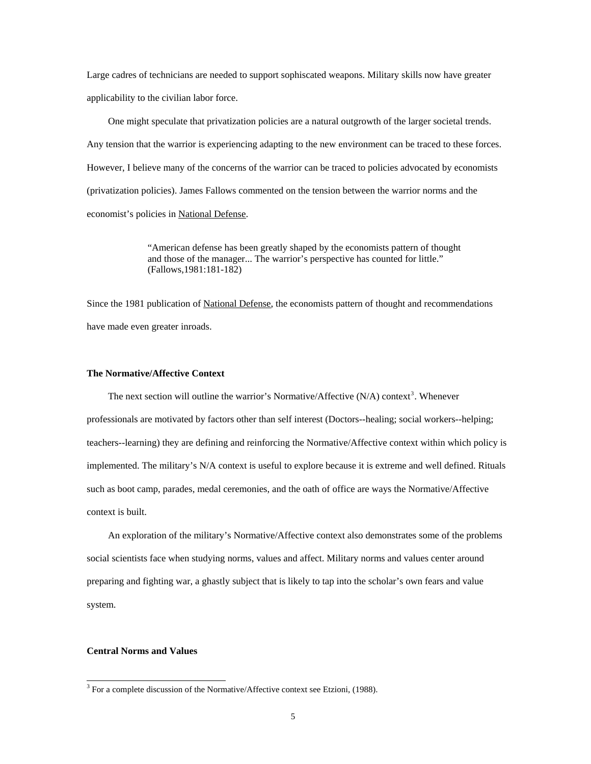Large cadres of technicians are needed to support sophiscated weapons. Military skills now have greater applicability to the civilian labor force.

 One might speculate that privatization policies are a natural outgrowth of the larger societal trends. Any tension that the warrior is experiencing adapting to the new environment can be traced to these forces. However, I believe many of the concerns of the warrior can be traced to policies advocated by economists (privatization policies). James Fallows commented on the tension between the warrior norms and the economist's policies in National Defense.

> "American defense has been greatly shaped by the economists pattern of thought and those of the manager... The warrior's perspective has counted for little." (Fallows,1981:181-182)

Since the 1981 publication of National Defense, the economists pattern of thought and recommendations have made even greater inroads.

# **The Normative/Affective Context**

The next section will outline the warrior's Normative/Affective  $(N/A)$  context<sup>[3](#page-4-0)</sup>. Whenever professionals are motivated by factors other than self interest (Doctors--healing; social workers--helping; teachers--learning) they are defining and reinforcing the Normative/Affective context within which policy is implemented. The military's N/A context is useful to explore because it is extreme and well defined. Rituals such as boot camp, parades, medal ceremonies, and the oath of office are ways the Normative/Affective context is built.

 An exploration of the military's Normative/Affective context also demonstrates some of the problems social scientists face when studying norms, values and affect. Military norms and values center around preparing and fighting war, a ghastly subject that is likely to tap into the scholar's own fears and value system.

# **Central Norms and Values**

<span id="page-4-0"></span><sup>&</sup>lt;sup>3</sup> For a complete discussion of the Normative/Affective context see Etzioni, (1988).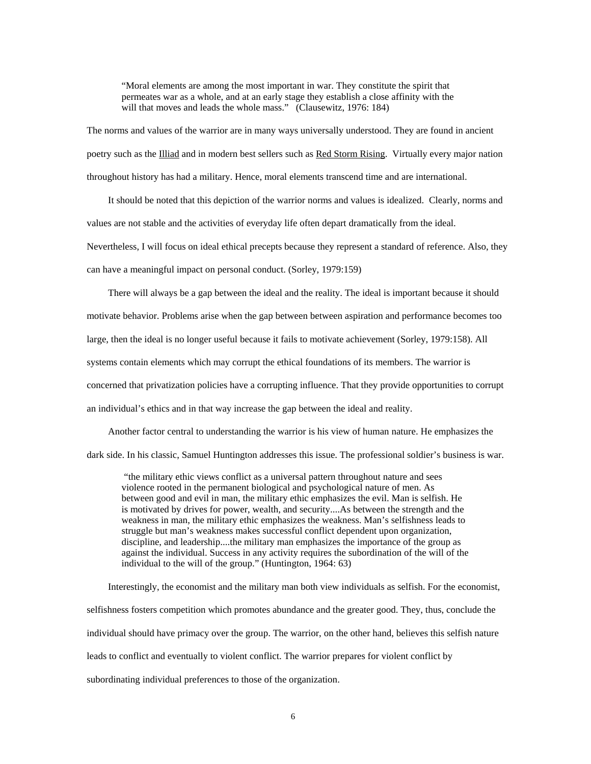"Moral elements are among the most important in war. They constitute the spirit that permeates war as a whole, and at an early stage they establish a close affinity with the will that moves and leads the whole mass." (Clausewitz, 1976: 184)

The norms and values of the warrior are in many ways universally understood. They are found in ancient poetry such as the Illiad and in modern best sellers such as Red Storm Rising. Virtually every major nation throughout history has had a military. Hence, moral elements transcend time and are international.

 It should be noted that this depiction of the warrior norms and values is idealized. Clearly, norms and values are not stable and the activities of everyday life often depart dramatically from the ideal.

Nevertheless, I will focus on ideal ethical precepts because they represent a standard of reference. Also, they can have a meaningful impact on personal conduct. (Sorley, 1979:159)

 There will always be a gap between the ideal and the reality. The ideal is important because it should motivate behavior. Problems arise when the gap between between aspiration and performance becomes too large, then the ideal is no longer useful because it fails to motivate achievement (Sorley, 1979:158). All systems contain elements which may corrupt the ethical foundations of its members. The warrior is concerned that privatization policies have a corrupting influence. That they provide opportunities to corrupt an individual's ethics and in that way increase the gap between the ideal and reality.

 Another factor central to understanding the warrior is his view of human nature. He emphasizes the dark side. In his classic, Samuel Huntington addresses this issue. The professional soldier's business is war.

 "the military ethic views conflict as a universal pattern throughout nature and sees violence rooted in the permanent biological and psychological nature of men. As between good and evil in man, the military ethic emphasizes the evil. Man is selfish. He is motivated by drives for power, wealth, and security....As between the strength and the weakness in man, the military ethic emphasizes the weakness. Man's selfishness leads to struggle but man's weakness makes successful conflict dependent upon organization, discipline, and leadership....the military man emphasizes the importance of the group as against the individual. Success in any activity requires the subordination of the will of the individual to the will of the group." (Huntington, 1964: 63)

 Interestingly, the economist and the military man both view individuals as selfish. For the economist, selfishness fosters competition which promotes abundance and the greater good. They, thus, conclude the individual should have primacy over the group. The warrior, on the other hand, believes this selfish nature leads to conflict and eventually to violent conflict. The warrior prepares for violent conflict by subordinating individual preferences to those of the organization.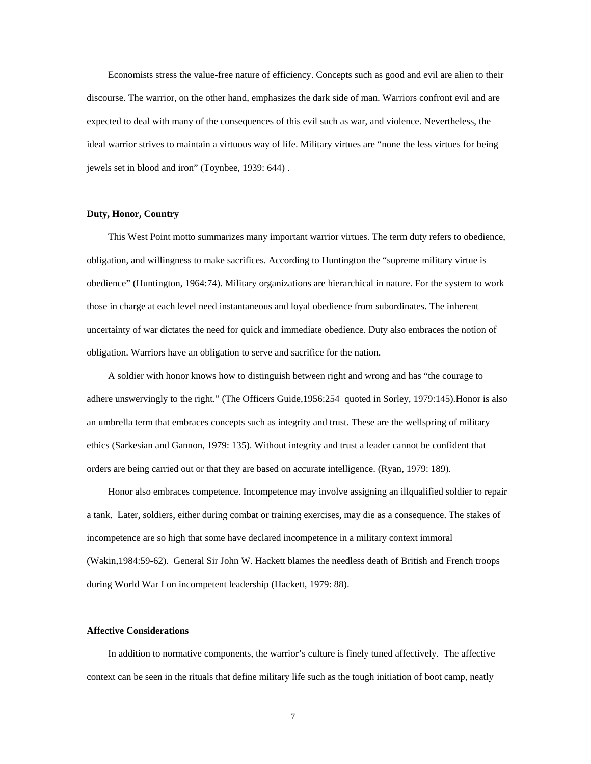Economists stress the value-free nature of efficiency. Concepts such as good and evil are alien to their discourse. The warrior, on the other hand, emphasizes the dark side of man. Warriors confront evil and are expected to deal with many of the consequences of this evil such as war, and violence. Nevertheless, the ideal warrior strives to maintain a virtuous way of life. Military virtues are "none the less virtues for being jewels set in blood and iron" (Toynbee, 1939: 644) .

### **Duty, Honor, Country**

 This West Point motto summarizes many important warrior virtues. The term duty refers to obedience, obligation, and willingness to make sacrifices. According to Huntington the "supreme military virtue is obedience" (Huntington, 1964:74). Military organizations are hierarchical in nature. For the system to work those in charge at each level need instantaneous and loyal obedience from subordinates. The inherent uncertainty of war dictates the need for quick and immediate obedience. Duty also embraces the notion of obligation. Warriors have an obligation to serve and sacrifice for the nation.

 A soldier with honor knows how to distinguish between right and wrong and has "the courage to adhere unswervingly to the right." (The Officers Guide,1956:254 quoted in Sorley, 1979:145).Honor is also an umbrella term that embraces concepts such as integrity and trust. These are the wellspring of military ethics (Sarkesian and Gannon, 1979: 135). Without integrity and trust a leader cannot be confident that orders are being carried out or that they are based on accurate intelligence. (Ryan, 1979: 189).

 Honor also embraces competence. Incompetence may involve assigning an illqualified soldier to repair a tank. Later, soldiers, either during combat or training exercises, may die as a consequence. The stakes of incompetence are so high that some have declared incompetence in a military context immoral (Wakin,1984:59-62). General Sir John W. Hackett blames the needless death of British and French troops during World War I on incompetent leadership (Hackett, 1979: 88).

# **Affective Considerations**

 In addition to normative components, the warrior's culture is finely tuned affectively. The affective context can be seen in the rituals that define military life such as the tough initiation of boot camp, neatly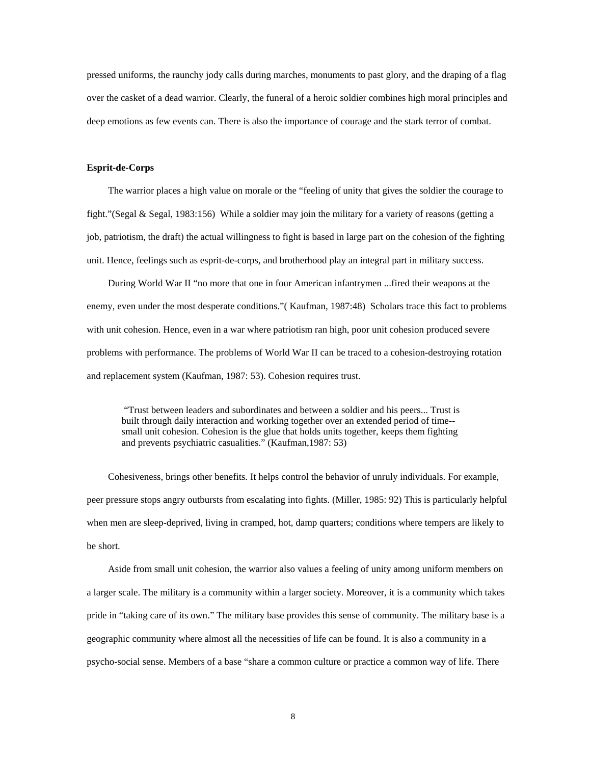pressed uniforms, the raunchy jody calls during marches, monuments to past glory, and the draping of a flag over the casket of a dead warrior. Clearly, the funeral of a heroic soldier combines high moral principles and deep emotions as few events can. There is also the importance of courage and the stark terror of combat.

### **Esprit-de-Corps**

 The warrior places a high value on morale or the "feeling of unity that gives the soldier the courage to fight."(Segal & Segal, 1983:156) While a soldier may join the military for a variety of reasons (getting a job, patriotism, the draft) the actual willingness to fight is based in large part on the cohesion of the fighting unit. Hence, feelings such as esprit-de-corps, and brotherhood play an integral part in military success.

 During World War II "no more that one in four American infantrymen ...fired their weapons at the enemy, even under the most desperate conditions."( Kaufman, 1987:48) Scholars trace this fact to problems with unit cohesion. Hence, even in a war where patriotism ran high, poor unit cohesion produced severe problems with performance. The problems of World War II can be traced to a cohesion-destroying rotation and replacement system (Kaufman, 1987: 53). Cohesion requires trust.

 "Trust between leaders and subordinates and between a soldier and his peers... Trust is built through daily interaction and working together over an extended period of time- small unit cohesion. Cohesion is the glue that holds units together, keeps them fighting and prevents psychiatric casualities." (Kaufman,1987: 53)

 Cohesiveness, brings other benefits. It helps control the behavior of unruly individuals. For example, peer pressure stops angry outbursts from escalating into fights. (Miller, 1985: 92) This is particularly helpful when men are sleep-deprived, living in cramped, hot, damp quarters; conditions where tempers are likely to be short.

 Aside from small unit cohesion, the warrior also values a feeling of unity among uniform members on a larger scale. The military is a community within a larger society. Moreover, it is a community which takes pride in "taking care of its own." The military base provides this sense of community. The military base is a geographic community where almost all the necessities of life can be found. It is also a community in a psycho-social sense. Members of a base "share a common culture or practice a common way of life. There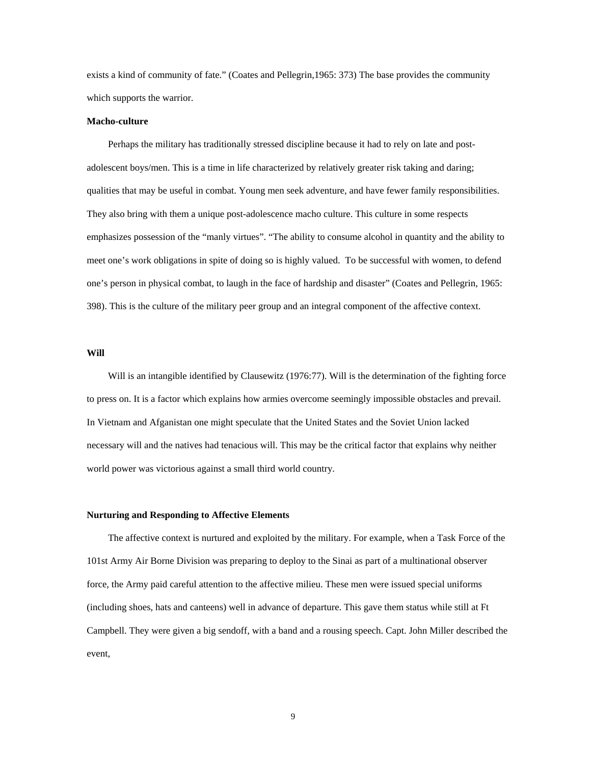exists a kind of community of fate." (Coates and Pellegrin,1965: 373) The base provides the community which supports the warrior.

### **Macho-culture**

 Perhaps the military has traditionally stressed discipline because it had to rely on late and postadolescent boys/men. This is a time in life characterized by relatively greater risk taking and daring; qualities that may be useful in combat. Young men seek adventure, and have fewer family responsibilities. They also bring with them a unique post-adolescence macho culture. This culture in some respects emphasizes possession of the "manly virtues". "The ability to consume alcohol in quantity and the ability to meet one's work obligations in spite of doing so is highly valued. To be successful with women, to defend one's person in physical combat, to laugh in the face of hardship and disaster" (Coates and Pellegrin, 1965: 398). This is the culture of the military peer group and an integral component of the affective context.

# **Will**

 Will is an intangible identified by Clausewitz (1976:77). Will is the determination of the fighting force to press on. It is a factor which explains how armies overcome seemingly impossible obstacles and prevail. In Vietnam and Afganistan one might speculate that the United States and the Soviet Union lacked necessary will and the natives had tenacious will. This may be the critical factor that explains why neither world power was victorious against a small third world country.

# **Nurturing and Responding to Affective Elements**

 The affective context is nurtured and exploited by the military. For example, when a Task Force of the 101st Army Air Borne Division was preparing to deploy to the Sinai as part of a multinational observer force, the Army paid careful attention to the affective milieu. These men were issued special uniforms (including shoes, hats and canteens) well in advance of departure. This gave them status while still at Ft Campbell. They were given a big sendoff, with a band and a rousing speech. Capt. John Miller described the event,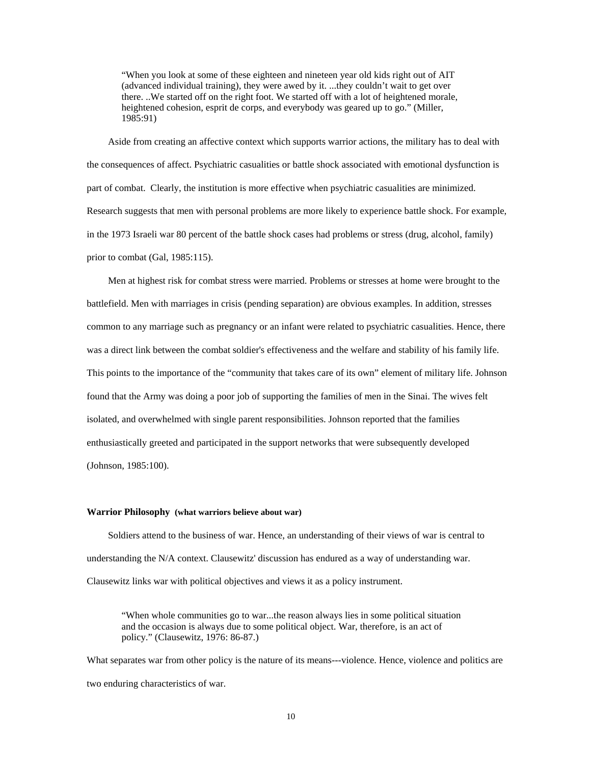"When you look at some of these eighteen and nineteen year old kids right out of AIT (advanced individual training), they were awed by it. ...they couldn't wait to get over there. ..We started off on the right foot. We started off with a lot of heightened morale, heightened cohesion, esprit de corps, and everybody was geared up to go." (Miller, 1985:91)

 Aside from creating an affective context which supports warrior actions, the military has to deal with the consequences of affect. Psychiatric casualities or battle shock associated with emotional dysfunction is part of combat. Clearly, the institution is more effective when psychiatric casualities are minimized. Research suggests that men with personal problems are more likely to experience battle shock. For example, in the 1973 Israeli war 80 percent of the battle shock cases had problems or stress (drug, alcohol, family) prior to combat (Gal, 1985:115).

 Men at highest risk for combat stress were married. Problems or stresses at home were brought to the battlefield. Men with marriages in crisis (pending separation) are obvious examples. In addition, stresses common to any marriage such as pregnancy or an infant were related to psychiatric casualities. Hence, there was a direct link between the combat soldier's effectiveness and the welfare and stability of his family life. This points to the importance of the "community that takes care of its own" element of military life. Johnson found that the Army was doing a poor job of supporting the families of men in the Sinai. The wives felt isolated, and overwhelmed with single parent responsibilities. Johnson reported that the families enthusiastically greeted and participated in the support networks that were subsequently developed (Johnson, 1985:100).

# **Warrior Philosophy (what warriors believe about war)**

 Soldiers attend to the business of war. Hence, an understanding of their views of war is central to understanding the N/A context. Clausewitz' discussion has endured as a way of understanding war. Clausewitz links war with political objectives and views it as a policy instrument.

"When whole communities go to war...the reason always lies in some political situation and the occasion is always due to some political object. War, therefore, is an act of policy." (Clausewitz, 1976: 86-87.)

What separates war from other policy is the nature of its means---violence. Hence, violence and politics are two enduring characteristics of war.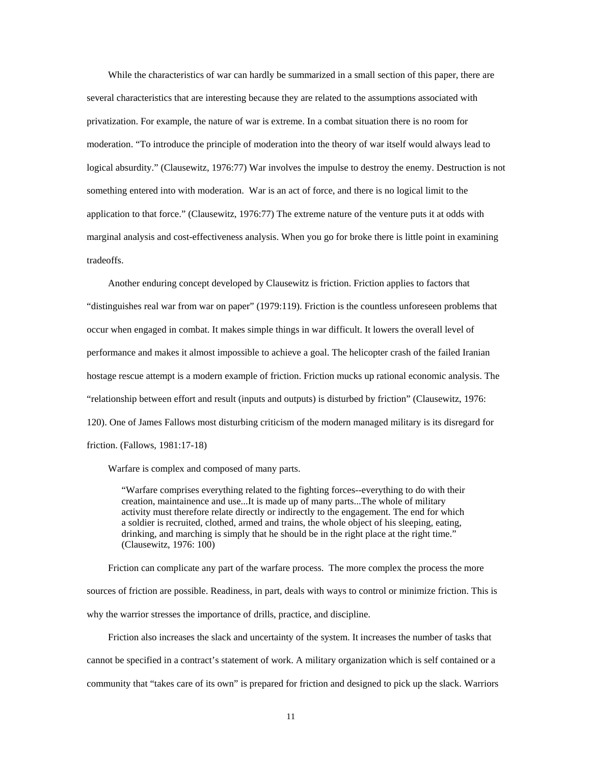While the characteristics of war can hardly be summarized in a small section of this paper, there are several characteristics that are interesting because they are related to the assumptions associated with privatization. For example, the nature of war is extreme. In a combat situation there is no room for moderation. "To introduce the principle of moderation into the theory of war itself would always lead to logical absurdity." (Clausewitz, 1976:77) War involves the impulse to destroy the enemy. Destruction is not something entered into with moderation. War is an act of force, and there is no logical limit to the application to that force." (Clausewitz, 1976:77) The extreme nature of the venture puts it at odds with marginal analysis and cost-effectiveness analysis. When you go for broke there is little point in examining tradeoffs.

 Another enduring concept developed by Clausewitz is friction. Friction applies to factors that "distinguishes real war from war on paper" (1979:119). Friction is the countless unforeseen problems that occur when engaged in combat. It makes simple things in war difficult. It lowers the overall level of performance and makes it almost impossible to achieve a goal. The helicopter crash of the failed Iranian hostage rescue attempt is a modern example of friction. Friction mucks up rational economic analysis. The "relationship between effort and result (inputs and outputs) is disturbed by friction" (Clausewitz, 1976: 120). One of James Fallows most disturbing criticism of the modern managed military is its disregard for friction. (Fallows, 1981:17-18)

Warfare is complex and composed of many parts.

"Warfare comprises everything related to the fighting forces--everything to do with their creation, maintainence and use...It is made up of many parts...The whole of military activity must therefore relate directly or indirectly to the engagement. The end for which a soldier is recruited, clothed, armed and trains, the whole object of his sleeping, eating, drinking, and marching is simply that he should be in the right place at the right time." (Clausewitz, 1976: 100)

 Friction can complicate any part of the warfare process. The more complex the process the more sources of friction are possible. Readiness, in part, deals with ways to control or minimize friction. This is why the warrior stresses the importance of drills, practice, and discipline.

 Friction also increases the slack and uncertainty of the system. It increases the number of tasks that cannot be specified in a contract's statement of work. A military organization which is self contained or a community that "takes care of its own" is prepared for friction and designed to pick up the slack. Warriors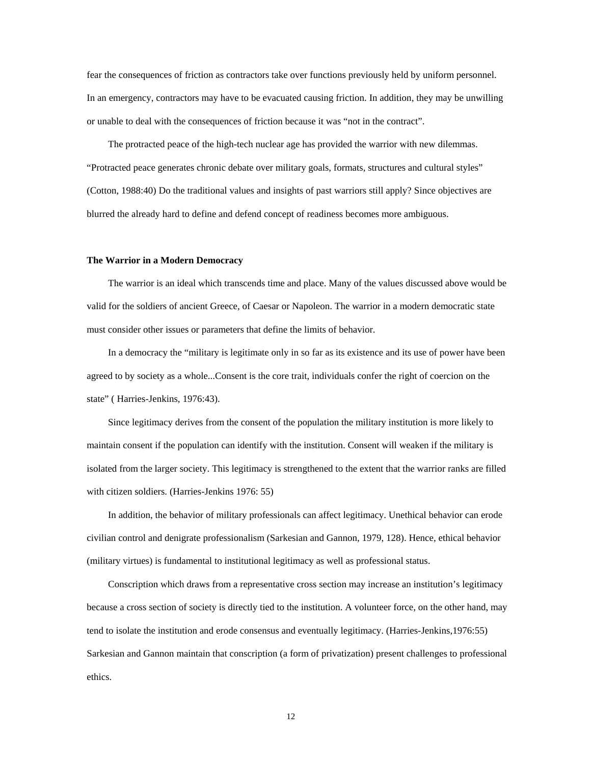fear the consequences of friction as contractors take over functions previously held by uniform personnel. In an emergency, contractors may have to be evacuated causing friction. In addition, they may be unwilling or unable to deal with the consequences of friction because it was "not in the contract".

 The protracted peace of the high-tech nuclear age has provided the warrior with new dilemmas. "Protracted peace generates chronic debate over military goals, formats, structures and cultural styles" (Cotton, 1988:40) Do the traditional values and insights of past warriors still apply? Since objectives are blurred the already hard to define and defend concept of readiness becomes more ambiguous.

### **The Warrior in a Modern Democracy**

 The warrior is an ideal which transcends time and place. Many of the values discussed above would be valid for the soldiers of ancient Greece, of Caesar or Napoleon. The warrior in a modern democratic state must consider other issues or parameters that define the limits of behavior.

 In a democracy the "military is legitimate only in so far as its existence and its use of power have been agreed to by society as a whole...Consent is the core trait, individuals confer the right of coercion on the state" ( Harries-Jenkins, 1976:43).

 Since legitimacy derives from the consent of the population the military institution is more likely to maintain consent if the population can identify with the institution. Consent will weaken if the military is isolated from the larger society. This legitimacy is strengthened to the extent that the warrior ranks are filled with citizen soldiers. (Harries-Jenkins 1976: 55)

 In addition, the behavior of military professionals can affect legitimacy. Unethical behavior can erode civilian control and denigrate professionalism (Sarkesian and Gannon, 1979, 128). Hence, ethical behavior (military virtues) is fundamental to institutional legitimacy as well as professional status.

 Conscription which draws from a representative cross section may increase an institution's legitimacy because a cross section of society is directly tied to the institution. A volunteer force, on the other hand, may tend to isolate the institution and erode consensus and eventually legitimacy. (Harries-Jenkins,1976:55) Sarkesian and Gannon maintain that conscription (a form of privatization) present challenges to professional ethics.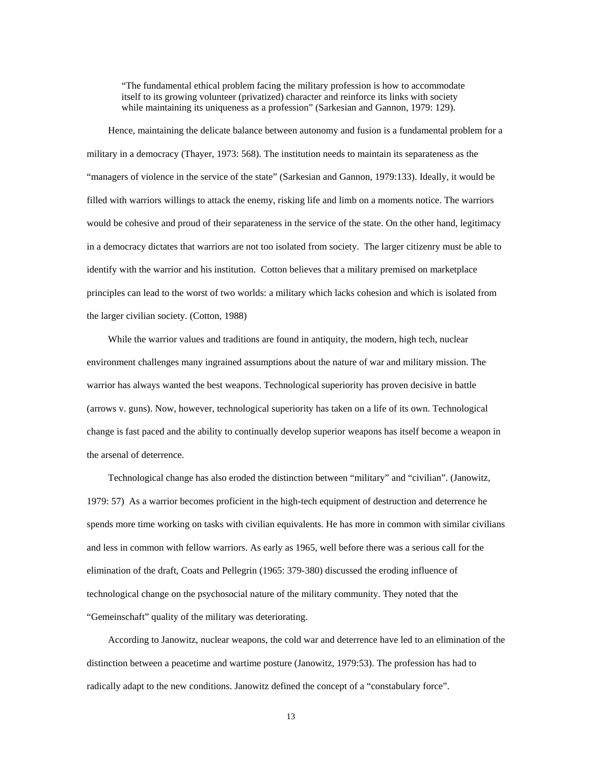"The fundamental ethical problem facing the military profession is how to accommodate itself to its growing volunteer (privatized) character and reinforce its links with society while maintaining its uniqueness as a profession" (Sarkesian and Gannon, 1979: 129).

 Hence, maintaining the delicate balance between autonomy and fusion is a fundamental problem for a military in a democracy (Thayer, 1973: 568). The institution needs to maintain its separateness as the "managers of violence in the service of the state" (Sarkesian and Gannon, 1979:133). Ideally, it would be filled with warriors willings to attack the enemy, risking life and limb on a moments notice. The warriors would be cohesive and proud of their separateness in the service of the state. On the other hand, legitimacy in a democracy dictates that warriors are not too isolated from society. The larger citizenry must be able to identify with the warrior and his institution. Cotton believes that a military premised on marketplace principles can lead to the worst of two worlds: a military which lacks cohesion and which is isolated from the larger civilian society. (Cotton, 1988)

 While the warrior values and traditions are found in antiquity, the modern, high tech, nuclear environment challenges many ingrained assumptions about the nature of war and military mission. The warrior has always wanted the best weapons. Technological superiority has proven decisive in battle (arrows v. guns). Now, however, technological superiority has taken on a life of its own. Technological change is fast paced and the ability to continually develop superior weapons has itself become a weapon in the arsenal of deterrence.

 Technological change has also eroded the distinction between "military" and "civilian". (Janowitz, 1979: 57) As a warrior becomes proficient in the high-tech equipment of destruction and deterrence he spends more time working on tasks with civilian equivalents. He has more in common with similar civilians and less in common with fellow warriors. As early as 1965, well before there was a serious call for the elimination of the draft, Coats and Pellegrin (1965: 379-380) discussed the eroding influence of technological change on the psychosocial nature of the military community. They noted that the "Gemeinschaft" quality of the military was deteriorating.

 According to Janowitz, nuclear weapons, the cold war and deterrence have led to an elimination of the distinction between a peacetime and wartime posture (Janowitz, 1979:53). The profession has had to radically adapt to the new conditions. Janowitz defined the concept of a "constabulary force".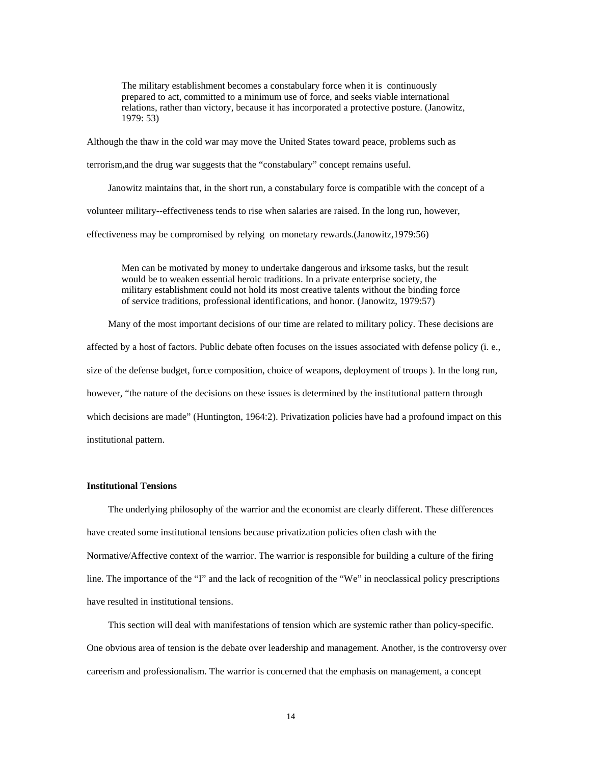The military establishment becomes a constabulary force when it is continuously prepared to act, committed to a minimum use of force, and seeks viable international relations, rather than victory, because it has incorporated a protective posture. (Janowitz, 1979: 53)

Although the thaw in the cold war may move the United States toward peace, problems such as

terrorism,and the drug war suggests that the "constabulary" concept remains useful.

 Janowitz maintains that, in the short run, a constabulary force is compatible with the concept of a volunteer military--effectiveness tends to rise when salaries are raised. In the long run, however, effectiveness may be compromised by relying on monetary rewards.(Janowitz,1979:56)

Men can be motivated by money to undertake dangerous and irksome tasks, but the result would be to weaken essential heroic traditions. In a private enterprise society, the military establishment could not hold its most creative talents without the binding force of service traditions, professional identifications, and honor. (Janowitz, 1979:57)

 Many of the most important decisions of our time are related to military policy. These decisions are affected by a host of factors. Public debate often focuses on the issues associated with defense policy (i. e., size of the defense budget, force composition, choice of weapons, deployment of troops ). In the long run, however, "the nature of the decisions on these issues is determined by the institutional pattern through which decisions are made" (Huntington, 1964:2). Privatization policies have had a profound impact on this institutional pattern.

### **Institutional Tensions**

 The underlying philosophy of the warrior and the economist are clearly different. These differences have created some institutional tensions because privatization policies often clash with the Normative/Affective context of the warrior. The warrior is responsible for building a culture of the firing line. The importance of the "I" and the lack of recognition of the "We" in neoclassical policy prescriptions have resulted in institutional tensions.

 This section will deal with manifestations of tension which are systemic rather than policy-specific. One obvious area of tension is the debate over leadership and management. Another, is the controversy over careerism and professionalism. The warrior is concerned that the emphasis on management, a concept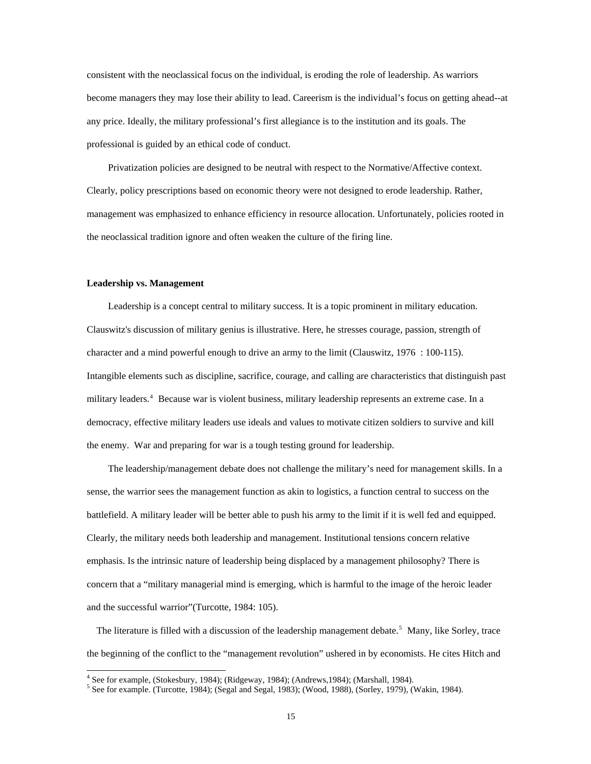consistent with the neoclassical focus on the individual, is eroding the role of leadership. As warriors become managers they may lose their ability to lead. Careerism is the individual's focus on getting ahead--at any price. Ideally, the military professional's first allegiance is to the institution and its goals. The professional is guided by an ethical code of conduct.

 Privatization policies are designed to be neutral with respect to the Normative/Affective context. Clearly, policy prescriptions based on economic theory were not designed to erode leadership. Rather, management was emphasized to enhance efficiency in resource allocation. Unfortunately, policies rooted in the neoclassical tradition ignore and often weaken the culture of the firing line.

### **Leadership vs. Management**

 Leadership is a concept central to military success. It is a topic prominent in military education. Clauswitz's discussion of military genius is illustrative. Here, he stresses courage, passion, strength of character and a mind powerful enough to drive an army to the limit (Clauswitz, 1976 : 100-115). Intangible elements such as discipline, sacrifice, courage, and calling are characteristics that distinguish past military leaders.<sup>[4](#page-14-0)</sup> Because war is violent business, military leadership represents an extreme case. In a democracy, effective military leaders use ideals and values to motivate citizen soldiers to survive and kill the enemy. War and preparing for war is a tough testing ground for leadership.

 The leadership/management debate does not challenge the military's need for management skills. In a sense, the warrior sees the management function as akin to logistics, a function central to success on the battlefield. A military leader will be better able to push his army to the limit if it is well fed and equipped. Clearly, the military needs both leadership and management. Institutional tensions concern relative emphasis. Is the intrinsic nature of leadership being displaced by a management philosophy? There is concern that a "military managerial mind is emerging, which is harmful to the image of the heroic leader and the successful warrior"(Turcotte, 1984: 105).

The literature is filled with a discussion of the leadership management debate.<sup>5</sup> Many, like Sorley, trace the beginning of the conflict to the "management revolution" ushered in by economists. He cites Hitch and

<sup>4&</sup>lt;br>
See for example, (Stokesbury, 1984); (Ridgeway, 1984); (Andrews, 1984); (Marshall, 1984).<br>
<sup>5</sup> See for example, (Tureatte, 1984); (Segal and Segal, 1983); (Wood, 1988), (Serlay, 1979), (N

<span id="page-14-1"></span><span id="page-14-0"></span><sup>&</sup>lt;sup>5</sup> See for example. (Turcotte, 1984); (Segal and Segal, 1983); (Wood, 1988), (Sorley, 1979), (Wakin, 1984).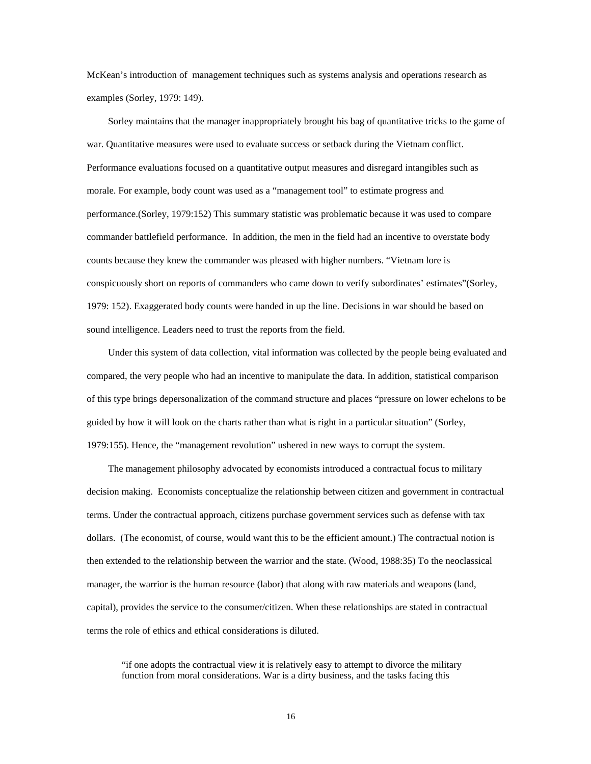McKean's introduction of management techniques such as systems analysis and operations research as examples (Sorley, 1979: 149).

 Sorley maintains that the manager inappropriately brought his bag of quantitative tricks to the game of war. Quantitative measures were used to evaluate success or setback during the Vietnam conflict. Performance evaluations focused on a quantitative output measures and disregard intangibles such as morale. For example, body count was used as a "management tool" to estimate progress and performance.(Sorley, 1979:152) This summary statistic was problematic because it was used to compare commander battlefield performance. In addition, the men in the field had an incentive to overstate body counts because they knew the commander was pleased with higher numbers. "Vietnam lore is conspicuously short on reports of commanders who came down to verify subordinates' estimates"(Sorley, 1979: 152). Exaggerated body counts were handed in up the line. Decisions in war should be based on sound intelligence. Leaders need to trust the reports from the field.

 Under this system of data collection, vital information was collected by the people being evaluated and compared, the very people who had an incentive to manipulate the data. In addition, statistical comparison of this type brings depersonalization of the command structure and places "pressure on lower echelons to be guided by how it will look on the charts rather than what is right in a particular situation" (Sorley, 1979:155). Hence, the "management revolution" ushered in new ways to corrupt the system.

 The management philosophy advocated by economists introduced a contractual focus to military decision making. Economists conceptualize the relationship between citizen and government in contractual terms. Under the contractual approach, citizens purchase government services such as defense with tax dollars. (The economist, of course, would want this to be the efficient amount.) The contractual notion is then extended to the relationship between the warrior and the state. (Wood, 1988:35) To the neoclassical manager, the warrior is the human resource (labor) that along with raw materials and weapons (land, capital), provides the service to the consumer/citizen. When these relationships are stated in contractual terms the role of ethics and ethical considerations is diluted.

"if one adopts the contractual view it is relatively easy to attempt to divorce the military function from moral considerations. War is a dirty business, and the tasks facing this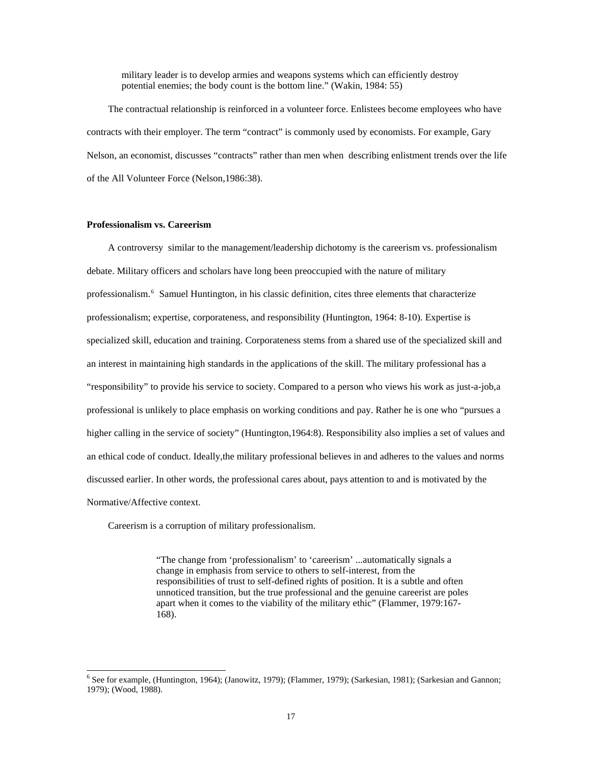military leader is to develop armies and weapons systems which can efficiently destroy potential enemies; the body count is the bottom line." (Wakin, 1984: 55)

 The contractual relationship is reinforced in a volunteer force. Enlistees become employees who have contracts with their employer. The term "contract" is commonly used by economists. For example, Gary Nelson, an economist, discusses "contracts" rather than men when describing enlistment trends over the life of the All Volunteer Force (Nelson,1986:38).

# **Professionalism vs. Careerism**

 $\overline{a}$ 

 A controversy similar to the management/leadership dichotomy is the careerism vs. professionalism debate. Military officers and scholars have long been preoccupied with the nature of military professionalism.<sup>[6](#page-16-0)</sup> Samuel Huntington, in his classic definition, cites three elements that characterize professionalism; expertise, corporateness, and responsibility (Huntington, 1964: 8-10). Expertise is specialized skill, education and training. Corporateness stems from a shared use of the specialized skill and an interest in maintaining high standards in the applications of the skill. The military professional has a "responsibility" to provide his service to society. Compared to a person who views his work as just-a-job,a professional is unlikely to place emphasis on working conditions and pay. Rather he is one who "pursues a higher calling in the service of society" (Huntington,1964:8). Responsibility also implies a set of values and an ethical code of conduct. Ideally,the military professional believes in and adheres to the values and norms discussed earlier. In other words, the professional cares about, pays attention to and is motivated by the Normative/Affective context.

Careerism is a corruption of military professionalism.

"The change from 'professionalism' to 'careerism' ...automatically signals a change in emphasis from service to others to self-interest, from the responsibilities of trust to self-defined rights of position. It is a subtle and often unnoticed transition, but the true professional and the genuine careerist are poles apart when it comes to the viability of the military ethic" (Flammer, 1979:167- 168).

<span id="page-16-0"></span><sup>6</sup> See for example, (Huntington, 1964); (Janowitz, 1979); (Flammer, 1979); (Sarkesian, 1981); (Sarkesian and Gannon; 1979); (Wood, 1988).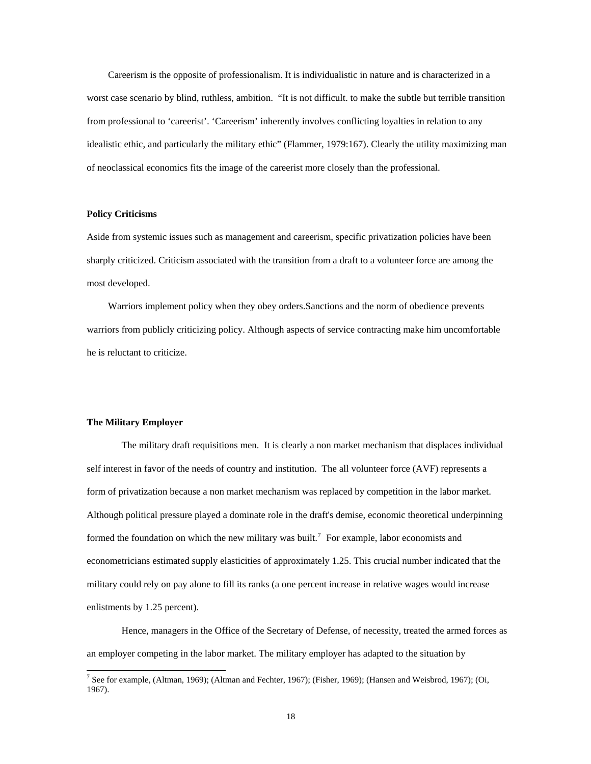Careerism is the opposite of professionalism. It is individualistic in nature and is characterized in a worst case scenario by blind, ruthless, ambition. "It is not difficult. to make the subtle but terrible transition from professional to 'careerist'. 'Careerism' inherently involves conflicting loyalties in relation to any idealistic ethic, and particularly the military ethic" (Flammer, 1979:167). Clearly the utility maximizing man of neoclassical economics fits the image of the careerist more closely than the professional.

### **Policy Criticisms**

Aside from systemic issues such as management and careerism, specific privatization policies have been sharply criticized. Criticism associated with the transition from a draft to a volunteer force are among the most developed.

 Warriors implement policy when they obey orders.Sanctions and the norm of obedience prevents warriors from publicly criticizing policy. Although aspects of service contracting make him uncomfortable he is reluctant to criticize.

### **The Military Employer**

The military draft requisitions men. It is clearly a non market mechanism that displaces individual self interest in favor of the needs of country and institution. The all volunteer force (AVF) represents a form of privatization because a non market mechanism was replaced by competition in the labor market. Although political pressure played a dominate role in the draft's demise, economic theoretical underpinning formed the foundation on which the new military was built.<sup>[7](#page-17-0)</sup> For example, labor economists and econometricians estimated supply elasticities of approximately 1.25. This crucial number indicated that the military could rely on pay alone to fill its ranks (a one percent increase in relative wages would increase enlistments by 1.25 percent).

Hence, managers in the Office of the Secretary of Defense, of necessity, treated the armed forces as an employer competing in the labor market. The military employer has adapted to the situation by

<span id="page-17-0"></span> 7 See for example, (Altman, 1969); (Altman and Fechter, 1967); (Fisher, 1969); (Hansen and Weisbrod, 1967); (Oi, 1967).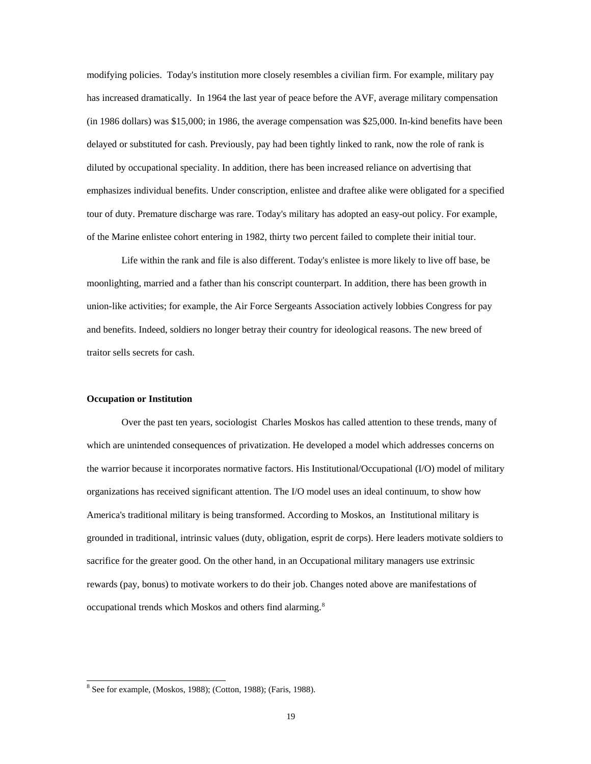modifying policies. Today's institution more closely resembles a civilian firm. For example, military pay has increased dramatically. In 1964 the last year of peace before the AVF, average military compensation (in 1986 dollars) was \$15,000; in 1986, the average compensation was \$25,000. In-kind benefits have been delayed or substituted for cash. Previously, pay had been tightly linked to rank, now the role of rank is diluted by occupational speciality. In addition, there has been increased reliance on advertising that emphasizes individual benefits. Under conscription, enlistee and draftee alike were obligated for a specified tour of duty. Premature discharge was rare. Today's military has adopted an easy-out policy. For example, of the Marine enlistee cohort entering in 1982, thirty two percent failed to complete their initial tour.

Life within the rank and file is also different. Today's enlistee is more likely to live off base, be moonlighting, married and a father than his conscript counterpart. In addition, there has been growth in union-like activities; for example, the Air Force Sergeants Association actively lobbies Congress for pay and benefits. Indeed, soldiers no longer betray their country for ideological reasons. The new breed of traitor sells secrets for cash.

### **Occupation or Institution**

 $\overline{a}$ 

Over the past ten years, sociologist Charles Moskos has called attention to these trends, many of which are unintended consequences of privatization. He developed a model which addresses concerns on the warrior because it incorporates normative factors. His Institutional/Occupational (I/O) model of military organizations has received significant attention. The I/O model uses an ideal continuum, to show how America's traditional military is being transformed. According to Moskos, an Institutional military is grounded in traditional, intrinsic values (duty, obligation, esprit de corps). Here leaders motivate soldiers to sacrifice for the greater good. On the other hand, in an Occupational military managers use extrinsic rewards (pay, bonus) to motivate workers to do their job. Changes noted above are manifestations of occupational trends which Moskos and others find alarming.<sup>[8](#page-18-0)</sup>

<span id="page-18-0"></span><sup>8</sup> See for example, (Moskos, 1988); (Cotton, 1988); (Faris, 1988).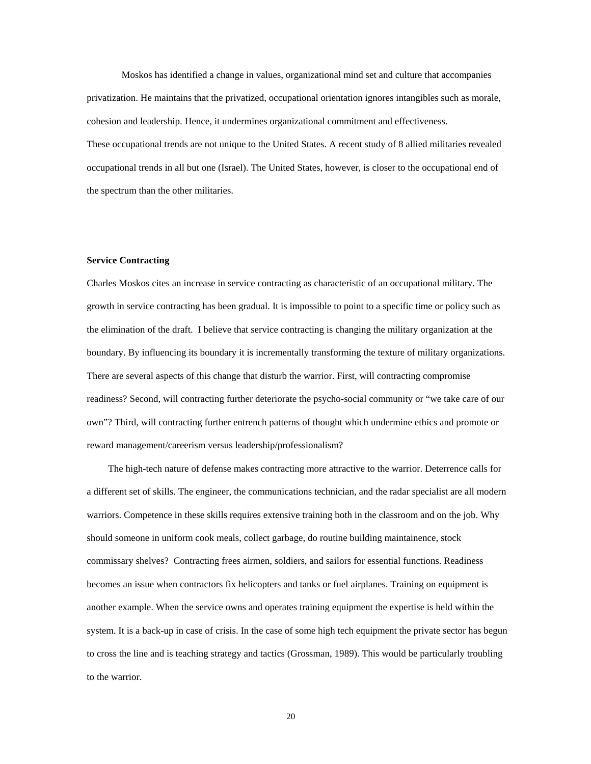Moskos has identified a change in values, organizational mind set and culture that accompanies privatization. He maintains that the privatized, occupational orientation ignores intangibles such as morale, cohesion and leadership. Hence, it undermines organizational commitment and effectiveness. These occupational trends are not unique to the United States. A recent study of 8 allied militaries revealed occupational trends in all but one (Israel). The United States, however, is closer to the occupational end of the spectrum than the other militaries.

# **Service Contracting**

Charles Moskos cites an increase in service contracting as characteristic of an occupational military. The growth in service contracting has been gradual. It is impossible to point to a specific time or policy such as the elimination of the draft. I believe that service contracting is changing the military organization at the boundary. By influencing its boundary it is incrementally transforming the texture of military organizations. There are several aspects of this change that disturb the warrior. First, will contracting compromise readiness? Second, will contracting further deteriorate the psycho-social community or "we take care of our own"? Third, will contracting further entrench patterns of thought which undermine ethics and promote or reward management/careerism versus leadership/professionalism?

 The high-tech nature of defense makes contracting more attractive to the warrior. Deterrence calls for a different set of skills. The engineer, the communications technician, and the radar specialist are all modern warriors. Competence in these skills requires extensive training both in the classroom and on the job. Why should someone in uniform cook meals, collect garbage, do routine building maintainence, stock commissary shelves? Contracting frees airmen, soldiers, and sailors for essential functions. Readiness becomes an issue when contractors fix helicopters and tanks or fuel airplanes. Training on equipment is another example. When the service owns and operates training equipment the expertise is held within the system. It is a back-up in case of crisis. In the case of some high tech equipment the private sector has begun to cross the line and is teaching strategy and tactics (Grossman, 1989). This would be particularly troubling to the warrior.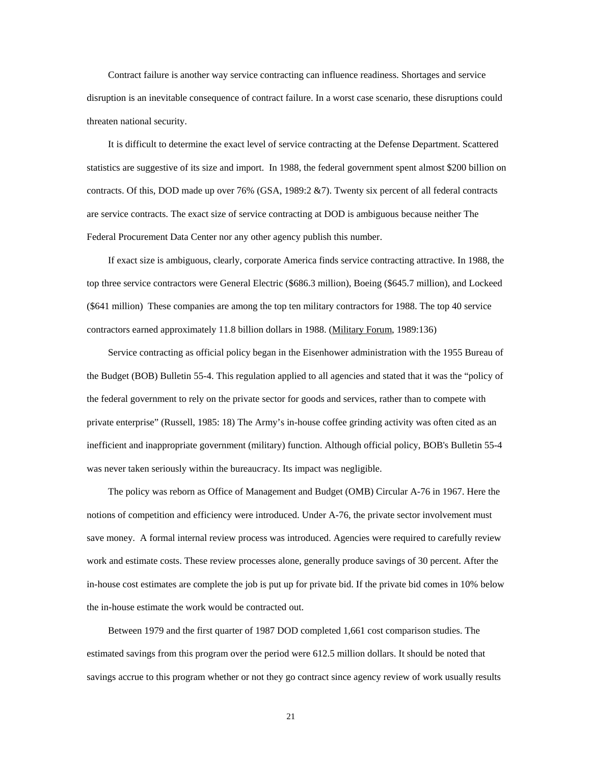Contract failure is another way service contracting can influence readiness. Shortages and service disruption is an inevitable consequence of contract failure. In a worst case scenario, these disruptions could threaten national security.

 It is difficult to determine the exact level of service contracting at the Defense Department. Scattered statistics are suggestive of its size and import. In 1988, the federal government spent almost \$200 billion on contracts. Of this, DOD made up over 76% (GSA, 1989:2 &7). Twenty six percent of all federal contracts are service contracts. The exact size of service contracting at DOD is ambiguous because neither The Federal Procurement Data Center nor any other agency publish this number.

 If exact size is ambiguous, clearly, corporate America finds service contracting attractive. In 1988, the top three service contractors were General Electric (\$686.3 million), Boeing (\$645.7 million), and Lockeed (\$641 million) These companies are among the top ten military contractors for 1988. The top 40 service contractors earned approximately 11.8 billion dollars in 1988. (Military Forum, 1989:136)

 Service contracting as official policy began in the Eisenhower administration with the 1955 Bureau of the Budget (BOB) Bulletin 55-4. This regulation applied to all agencies and stated that it was the "policy of the federal government to rely on the private sector for goods and services, rather than to compete with private enterprise" (Russell, 1985: 18) The Army's in-house coffee grinding activity was often cited as an inefficient and inappropriate government (military) function. Although official policy, BOB's Bulletin 55-4 was never taken seriously within the bureaucracy. Its impact was negligible.

 The policy was reborn as Office of Management and Budget (OMB) Circular A-76 in 1967. Here the notions of competition and efficiency were introduced. Under A-76, the private sector involvement must save money. A formal internal review process was introduced. Agencies were required to carefully review work and estimate costs. These review processes alone, generally produce savings of 30 percent. After the in-house cost estimates are complete the job is put up for private bid. If the private bid comes in 10% below the in-house estimate the work would be contracted out.

 Between 1979 and the first quarter of 1987 DOD completed 1,661 cost comparison studies. The estimated savings from this program over the period were 612.5 million dollars. It should be noted that savings accrue to this program whether or not they go contract since agency review of work usually results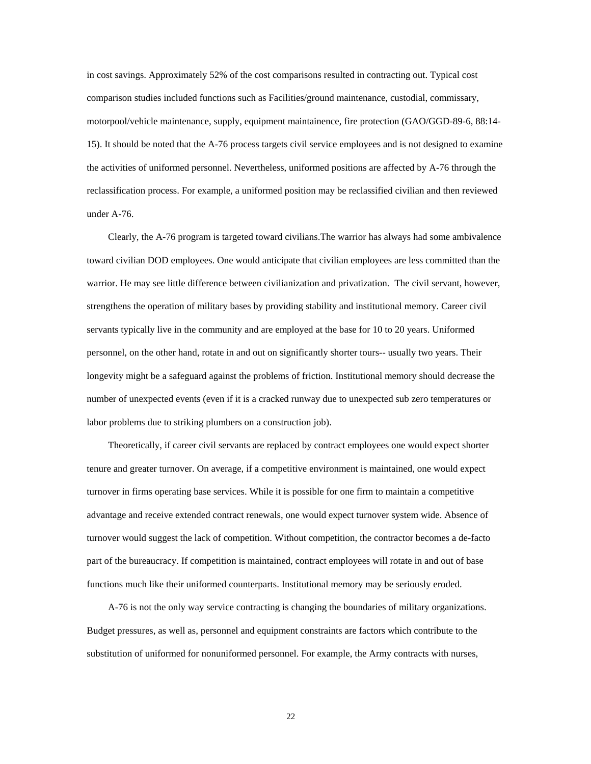in cost savings. Approximately 52% of the cost comparisons resulted in contracting out. Typical cost comparison studies included functions such as Facilities/ground maintenance, custodial, commissary, motorpool/vehicle maintenance, supply, equipment maintainence, fire protection (GAO/GGD-89-6, 88:14- 15). It should be noted that the A-76 process targets civil service employees and is not designed to examine the activities of uniformed personnel. Nevertheless, uniformed positions are affected by A-76 through the reclassification process. For example, a uniformed position may be reclassified civilian and then reviewed under A-76.

 Clearly, the A-76 program is targeted toward civilians.The warrior has always had some ambivalence toward civilian DOD employees. One would anticipate that civilian employees are less committed than the warrior. He may see little difference between civilianization and privatization. The civil servant, however, strengthens the operation of military bases by providing stability and institutional memory. Career civil servants typically live in the community and are employed at the base for 10 to 20 years. Uniformed personnel, on the other hand, rotate in and out on significantly shorter tours-- usually two years. Their longevity might be a safeguard against the problems of friction. Institutional memory should decrease the number of unexpected events (even if it is a cracked runway due to unexpected sub zero temperatures or labor problems due to striking plumbers on a construction job).

 Theoretically, if career civil servants are replaced by contract employees one would expect shorter tenure and greater turnover. On average, if a competitive environment is maintained, one would expect turnover in firms operating base services. While it is possible for one firm to maintain a competitive advantage and receive extended contract renewals, one would expect turnover system wide. Absence of turnover would suggest the lack of competition. Without competition, the contractor becomes a de-facto part of the bureaucracy. If competition is maintained, contract employees will rotate in and out of base functions much like their uniformed counterparts. Institutional memory may be seriously eroded.

 A-76 is not the only way service contracting is changing the boundaries of military organizations. Budget pressures, as well as, personnel and equipment constraints are factors which contribute to the substitution of uniformed for nonuniformed personnel. For example, the Army contracts with nurses,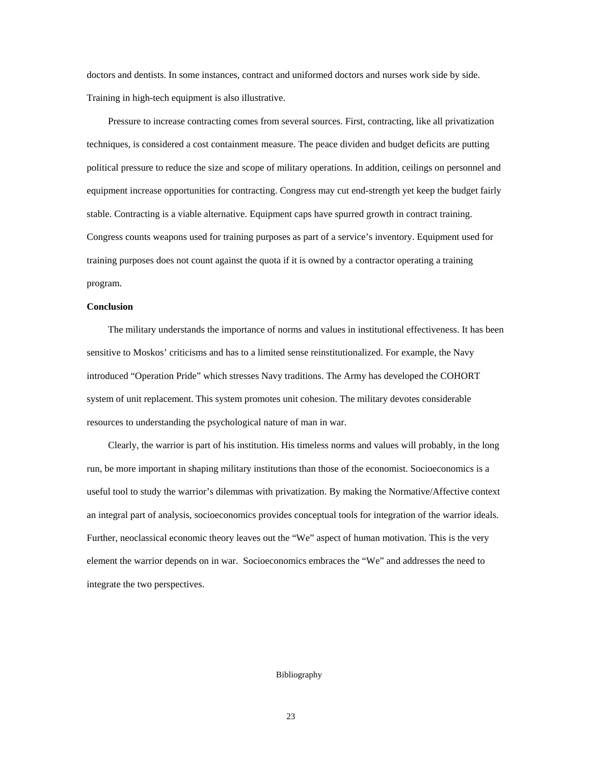doctors and dentists. In some instances, contract and uniformed doctors and nurses work side by side. Training in high-tech equipment is also illustrative.

 Pressure to increase contracting comes from several sources. First, contracting, like all privatization techniques, is considered a cost containment measure. The peace dividen and budget deficits are putting political pressure to reduce the size and scope of military operations. In addition, ceilings on personnel and equipment increase opportunities for contracting. Congress may cut end-strength yet keep the budget fairly stable. Contracting is a viable alternative. Equipment caps have spurred growth in contract training. Congress counts weapons used for training purposes as part of a service's inventory. Equipment used for training purposes does not count against the quota if it is owned by a contractor operating a training program.

#### **Conclusion**

 The military understands the importance of norms and values in institutional effectiveness. It has been sensitive to Moskos' criticisms and has to a limited sense reinstitutionalized. For example, the Navy introduced "Operation Pride" which stresses Navy traditions. The Army has developed the COHORT system of unit replacement. This system promotes unit cohesion. The military devotes considerable resources to understanding the psychological nature of man in war.

 Clearly, the warrior is part of his institution. His timeless norms and values will probably, in the long run, be more important in shaping military institutions than those of the economist. Socioeconomics is a useful tool to study the warrior's dilemmas with privatization. By making the Normative/Affective context an integral part of analysis, socioeconomics provides conceptual tools for integration of the warrior ideals. Further, neoclassical economic theory leaves out the "We" aspect of human motivation. This is the very element the warrior depends on in war. Socioeconomics embraces the "We" and addresses the need to integrate the two perspectives.

# Bibliography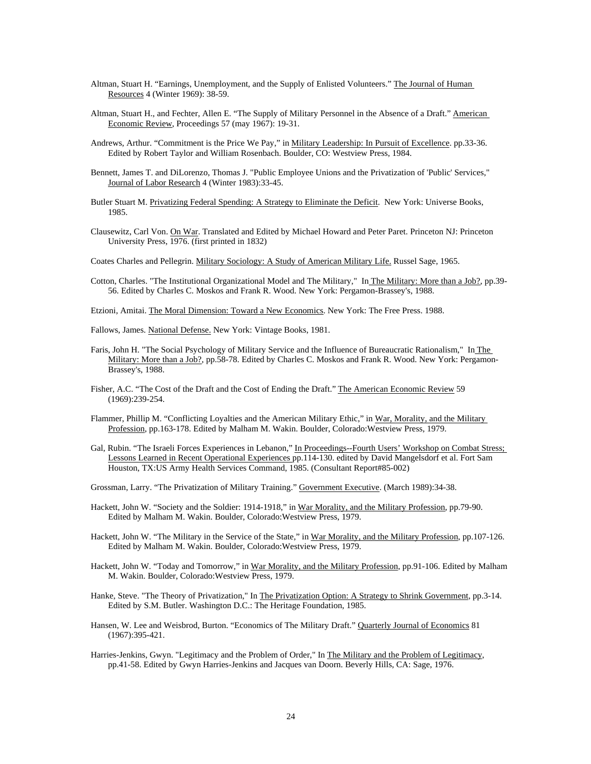- Altman, Stuart H. "Earnings, Unemployment, and the Supply of Enlisted Volunteers." The Journal of Human Resources 4 (Winter 1969): 38-59.
- Altman, Stuart H., and Fechter, Allen E. "The Supply of Military Personnel in the Absence of a Draft." American Economic Review, Proceedings 57 (may 1967): 19-31.
- Andrews, Arthur. "Commitment is the Price We Pay," in Military Leadership: In Pursuit of Excellence. pp.33-36. Edited by Robert Taylor and William Rosenbach. Boulder, CO: Westview Press, 1984.
- Bennett, James T. and DiLorenzo, Thomas J. "Public Employee Unions and the Privatization of 'Public' Services," Journal of Labor Research 4 (Winter 1983):33-45.
- Butler Stuart M. Privatizing Federal Spending: A Strategy to Eliminate the Deficit. New York: Universe Books, 1985.
- Clausewitz, Carl Von. On War. Translated and Edited by Michael Howard and Peter Paret. Princeton NJ: Princeton University Press, 1976. (first printed in 1832)
- Coates Charles and Pellegrin. Military Sociology: A Study of American Military Life. Russel Sage, 1965.
- Cotton, Charles. "The Institutional Organizational Model and The Military," In The Military: More than a Job?, pp.39-56. Edited by Charles C. Moskos and Frank R. Wood. New York: Pergamon-Brassey's, 1988.
- Etzioni, Amitai. The Moral Dimension: Toward a New Economics. New York: The Free Press. 1988.
- Fallows, James. National Defense. New York: Vintage Books, 1981.
- Faris, John H. "The Social Psychology of Military Service and the Influence of Bureaucratic Rationalism," In The Military: More than a Job?, pp.58-78. Edited by Charles C. Moskos and Frank R. Wood. New York: Pergamon-Brassey's, 1988.
- Fisher, A.C. "The Cost of the Draft and the Cost of Ending the Draft." The American Economic Review 59 (1969):239-254.
- Flammer, Phillip M. "Conflicting Loyalties and the American Military Ethic," in War, Morality, and the Military Profession, pp.163-178. Edited by Malham M. Wakin. Boulder, Colorado:Westview Press, 1979.
- Gal, Rubin. "The Israeli Forces Experiences in Lebanon," In Proceedings--Fourth Users' Workshop on Combat Stress; Lessons Learned in Recent Operational Experiences pp.114-130. edited by David Mangelsdorf et al. Fort Sam Houston, TX:US Army Health Services Command, 1985. (Consultant Report#85-002)
- Grossman, Larry. "The Privatization of Military Training." Government Executive. (March 1989):34-38.
- Hackett, John W. "Society and the Soldier: 1914-1918," in War Morality, and the Military Profession, pp.79-90. Edited by Malham M. Wakin. Boulder, Colorado:Westview Press, 1979.
- Hackett, John W. "The Military in the Service of the State," in War Morality, and the Military Profession, pp.107-126. Edited by Malham M. Wakin. Boulder, Colorado:Westview Press, 1979.
- Hackett, John W. "Today and Tomorrow," in War Morality, and the Military Profession, pp.91-106. Edited by Malham M. Wakin. Boulder, Colorado:Westview Press, 1979.
- Hanke, Steve. "The Theory of Privatization," In The Privatization Option: A Strategy to Shrink Government, pp.3-14. Edited by S.M. Butler. Washington D.C.: The Heritage Foundation, 1985.
- Hansen, W. Lee and Weisbrod, Burton. "Economics of The Military Draft." Quarterly Journal of Economics 81 (1967):395-421.
- Harries-Jenkins, Gwyn. "Legitimacy and the Problem of Order," In The Military and the Problem of Legitimacy, pp.41-58. Edited by Gwyn Harries-Jenkins and Jacques van Doorn. Beverly Hills, CA: Sage, 1976.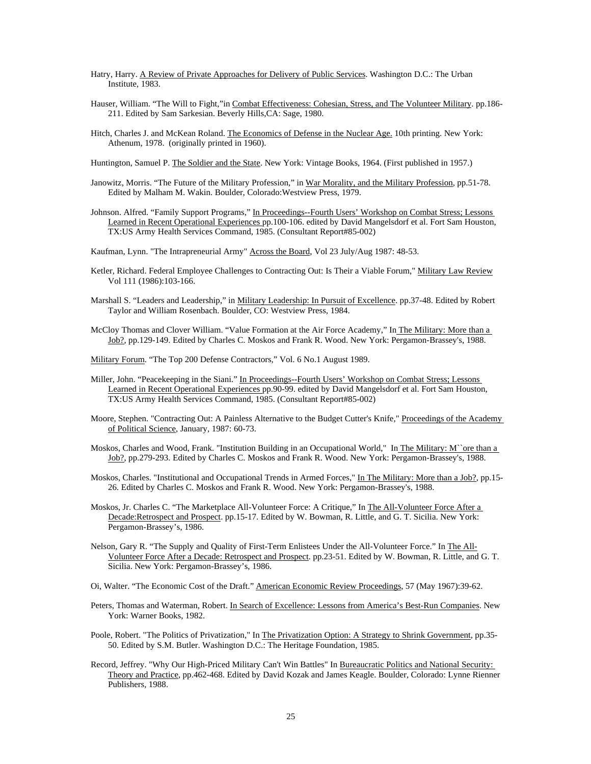- Hatry, Harry. A Review of Private Approaches for Delivery of Public Services. Washington D.C.: The Urban Institute, 1983.
- Hauser, William. "The Will to Fight,"in Combat Effectiveness: Cohesian, Stress, and The Volunteer Military. pp.186- 211. Edited by Sam Sarkesian. Beverly Hills,CA: Sage, 1980.
- Hitch, Charles J. and McKean Roland. The Economics of Defense in the Nuclear Age. 10th printing. New York: Athenum, 1978. (originally printed in 1960).

Huntington, Samuel P. The Soldier and the State. New York: Vintage Books, 1964. (First published in 1957.)

- Janowitz, Morris. "The Future of the Military Profession," in War Morality, and the Military Profession, pp.51-78. Edited by Malham M. Wakin. Boulder, Colorado:Westview Press, 1979.
- Johnson. Alfred. "Family Support Programs," In Proceedings--Fourth Users' Workshop on Combat Stress; Lessons Learned in Recent Operational Experiences pp.100-106. edited by David Mangelsdorf et al. Fort Sam Houston, TX:US Army Health Services Command, 1985. (Consultant Report#85-002)

Kaufman, Lynn. "The Intrapreneurial Army" Across the Board, Vol 23 July/Aug 1987: 48-53.

- Ketler, Richard. Federal Employee Challenges to Contracting Out: Is Their a Viable Forum," Military Law Review Vol 111 (1986):103-166.
- Marshall S. "Leaders and Leadership," in Military Leadership: In Pursuit of Excellence. pp.37-48. Edited by Robert Taylor and William Rosenbach. Boulder, CO: Westview Press, 1984.
- McCloy Thomas and Clover William. "Value Formation at the Air Force Academy," In The Military: More than a Job?, pp.129-149. Edited by Charles C. Moskos and Frank R. Wood. New York: Pergamon-Brassey's, 1988.
- Military Forum. "The Top 200 Defense Contractors," Vol. 6 No.1 August 1989.
- Miller, John. "Peacekeeping in the Siani." In Proceedings--Fourth Users' Workshop on Combat Stress; Lessons Learned in Recent Operational Experiences pp.90-99. edited by David Mangelsdorf et al. Fort Sam Houston, TX:US Army Health Services Command, 1985. (Consultant Report#85-002)
- Moore, Stephen. "Contracting Out: A Painless Alternative to the Budget Cutter's Knife," Proceedings of the Academy of Political Science, January, 1987: 60-73.
- Moskos, Charles and Wood, Frank. "Institution Building in an Occupational World," In The Military: M'ore than a Job?, pp.279-293. Edited by Charles C. Moskos and Frank R. Wood. New York: Pergamon-Brassey's, 1988.
- Moskos, Charles. "Institutional and Occupational Trends in Armed Forces," In The Military: More than a Job?, pp.15-26. Edited by Charles C. Moskos and Frank R. Wood. New York: Pergamon-Brassey's, 1988.
- Moskos, Jr. Charles C. "The Marketplace All-Volunteer Force: A Critique," In The All-Volunteer Force After a Decade:Retrospect and Prospect. pp.15-17. Edited by W. Bowman, R. Little, and G. T. Sicilia. New York: Pergamon-Brassey's, 1986.
- Nelson, Gary R. "The Supply and Quality of First-Term Enlistees Under the All-Volunteer Force." In The All-Volunteer Force After a Decade: Retrospect and Prospect. pp.23-51. Edited by W. Bowman, R. Little, and G. T. Sicilia. New York: Pergamon-Brassey's, 1986.
- Oi, Walter. "The Economic Cost of the Draft." American Economic Review Proceedings, 57 (May 1967):39-62.
- Peters, Thomas and Waterman, Robert. In Search of Excellence: Lessons from America's Best-Run Companies. New York: Warner Books, 1982.
- Poole, Robert. "The Politics of Privatization," In The Privatization Option: A Strategy to Shrink Government, pp.35-50. Edited by S.M. Butler. Washington D.C.: The Heritage Foundation, 1985.
- Record, Jeffrey. "Why Our High-Priced Military Can't Win Battles" In Bureaucratic Politics and National Security: Theory and Practice, pp.462-468. Edited by David Kozak and James Keagle. Boulder, Colorado: Lynne Rienner Publishers, 1988.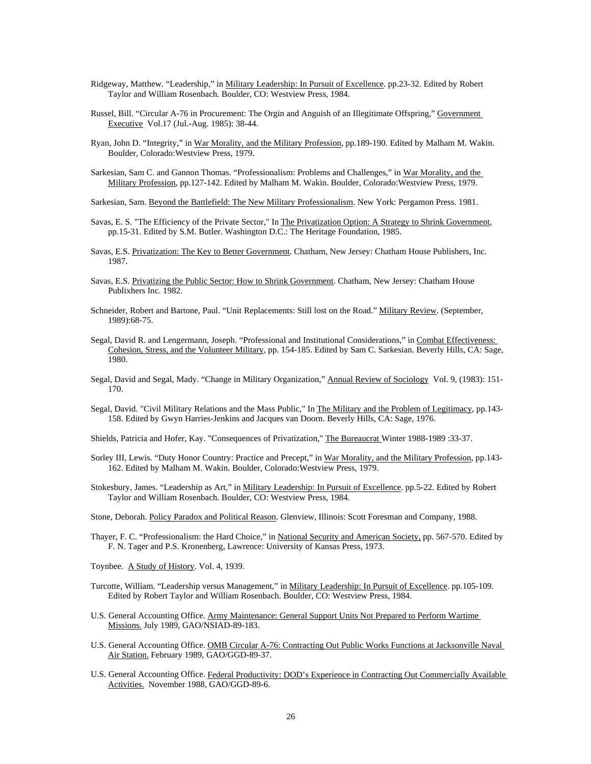- Ridgeway, Matthew. "Leadership," in Military Leadership: In Pursuit of Excellence. pp.23-32. Edited by Robert Taylor and William Rosenbach. Boulder, CO: Westview Press, 1984.
- Russel, Bill. "Circular A-76 in Procurement: The Orgin and Anguish of an Illegitimate Offspring," Government Executive Vol.17 (Jul.-Aug. 1985): 38-44.
- Ryan, John D. "Integrity," in War Morality, and the Military Profession, pp.189-190. Edited by Malham M. Wakin. Boulder, Colorado:Westview Press, 1979.
- Sarkesian, Sam C. and Gannon Thomas. "Professionalism: Problems and Challenges," in War Morality, and the Military Profession, pp.127-142. Edited by Malham M. Wakin. Boulder, Colorado:Westview Press, 1979.

Sarkesian, Sam. Beyond the Battlefield: The New Military Professionalism. New York: Pergamon Press. 1981.

- Savas, E. S. "The Efficiency of the Private Sector," In The Privatization Option: A Strategy to Shrink Government, pp.15-31. Edited by S.M. Butler. Washington D.C.: The Heritage Foundation, 1985.
- Savas, E.S. Privatization: The Key to Better Government. Chatham, New Jersey: Chatham House Publishers, Inc. 1987.
- Savas, E.S. Privatizing the Public Sector: How to Shrink Government. Chatham, New Jersey: Chatham House Publixhers Inc. 1982.
- Schneider, Robert and Bartone, Paul. "Unit Replacements: Still lost on the Road." Military Review. (September, 1989):68-75.
- Segal, David R. and Lengermann, Joseph. "Professional and Institutional Considerations," in Combat Effectiveness: Cohesion, Stress, and the Volunteer Military, pp. 154-185. Edited by Sam C. Sarkesian. Beverly Hills, CA: Sage, 1980.
- Segal, David and Segal, Mady. "Change in Military Organization," Annual Review of Sociology Vol. 9, (1983): 151- 170.
- Segal, David. "Civil Military Relations and the Mass Public," In The Military and the Problem of Legitimacy, pp.143-158. Edited by Gwyn Harries-Jenkins and Jacques van Doorn. Beverly Hills, CA: Sage, 1976.

Shields, Patricia and Hofer, Kay. "Consequences of Privatization," The Bureaucrat Winter 1988-1989 :33-37.

- Sorley III, Lewis. "Duty Honor Country: Practice and Precept," in War Morality, and the Military Profession, pp.143- 162. Edited by Malham M. Wakin. Boulder, Colorado:Westview Press, 1979.
- Stokesbury, James. "Leadership as Art," in Military Leadership: In Pursuit of Excellence. pp.5-22. Edited by Robert Taylor and William Rosenbach. Boulder, CO: Westview Press, 1984.

Stone, Deborah. Policy Paradox and Political Reason. Glenview, Illinois: Scott Foresman and Company, 1988.

- Thayer, F. C. "Professionalism: the Hard Choice," in National Security and American Society, pp. 567-570. Edited by F. N. Tager and P.S. Kronenberg, Lawrence: University of Kansas Press, 1973.
- Toynbee. A Study of History. Vol. 4, 1939.
- Turcotte, William. "Leadership versus Management," in Military Leadership: In Pursuit of Excellence. pp.105-109. Edited by Robert Taylor and William Rosenbach. Boulder, CO: Westview Press, 1984.
- U.S. General Accounting Office. Army Maintenance: General Support Units Not Prepared to Perform Wartime Missions. July 1989, GAO/NSIAD-89-183.
- U.S. General Accounting Office. OMB Circular A-76: Contracting Out Public Works Functions at Jacksonville Naval Air Station. February 1989, GAO/GGD-89-37.
- U.S. General Accounting Office. Federal Productivity: DOD's Experience in Contracting Out Commercially Available Activities. November 1988, GAO/GGD-89-6.